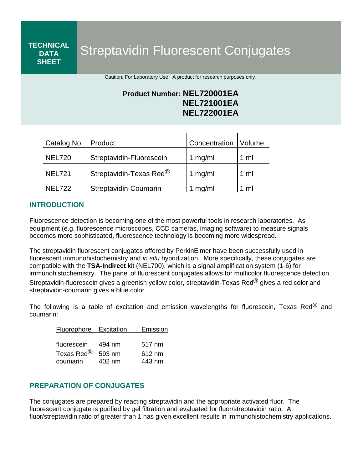Streptavidin Fluorescent Conjugates

Caution: For Laboratory Use. A product for research purposes only.

# **Product Number: NEL720001EA NEL721001EA NEL722001EA**

| Catalog No.   | Product                  | Concentration | <i><b>Volume</b></i> |
|---------------|--------------------------|---------------|----------------------|
| <b>NEL720</b> | Streptavidin-Fluorescein | 1 mg/ml       | 1 ml                 |
| <b>NEL721</b> | Streptavidin-Texas Red®  | 1 mg/ml       | 1 ml                 |
| <b>NEL722</b> | Streptavidin-Coumarin    | mq/ml         | 1 ml                 |

## **INTRODUCTION**

**TECHNICAL DATA SHEET**

Fluorescence detection is becoming one of the most powerful tools in research laboratories. As equipment (e.g. fluorescence microscopes, CCD cameras, imaging software) to measure signals becomes more sophisticated, fluorescence technology is becoming more widespread.

The streptavidin fluorescent conjugates offered by PerkinElmer have been successfully used in fluorescent immunohistochemistry and *in situ* hybridization. More specifically, these conjugates are compatible with the **TSA-Indirect** kit (NEL700), which is a signal amplification system (1-6) for immunohistochemistry. The panel of fluorescent conjugates allows for multicolor fluorescence detection. Streptavidin-fluorescein gives a greenish yellow color, streptavidin-Texas Red<sup>®</sup> gives a red color and streptavidin-coumarin gives a blue color.

The following is a table of excitation and emission wavelengths for fluorescein, Texas Red $^{\circledR}$  and coumarin:

| Fluorophore Excitation | Emission |        |
|------------------------|----------|--------|
|                        |          |        |
| fluorescein            | 494 nm   | 517 nm |
| Texas Red <sup>®</sup> | 593 nm   | 612 nm |
| coumarin               | 402 nm   | 443 nm |

## **PREPARATION OF CONJUGATES**

The conjugates are prepared by reacting streptavidin and the appropriate activated fluor. The fluorescent conjugate is purified by gel filtration and evaluated for fluor/streptavidin ratio. A fluor/streptavidin ratio of greater than 1 has given excellent results in immunohistochemistry applications.